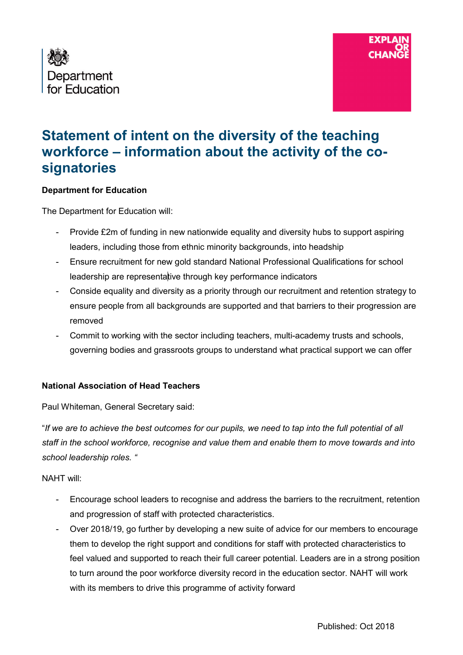



# **Statement of intent on the diversity of the teaching workforce – information about the activity of the cosignatories**

#### **Department for Education**

The Department for Education will:

- Provide £2m of funding in new nationwide equality and diversity hubs to support aspiring leaders, including those from ethnic minority backgrounds, into headship
- Ensure recruitment for new gold standard National Professional Qualifications for school leadership are representative through key performance indicators
- Conside equality and diversity as a priority through our recruitment and retention strategy to ensure people from all backgrounds are supported and that barriers to their progression are removed
- Commit to working with the sector including teachers, multi-academy trusts and schools, governing bodies and grassroots groups to understand what practical support we can offer

#### **National Association of Head Teachers**

Paul Whiteman, General Secretary said:

"*If we are to achieve the best outcomes for our pupils, we need to tap into the full potential of all staff in the school workforce, recognise and value them and enable them to move towards and into school leadership roles. "*

#### NAHT will:

- Encourage school leaders to recognise and address the barriers to the recruitment, retention and progression of staff with protected characteristics.
- Over 2018/19, go further by developing a new suite of advice for our members to encourage them to develop the right support and conditions for staff with protected characteristics to feel valued and supported to reach their full career potential. Leaders are in a strong position to turn around the poor workforce diversity record in the education sector. NAHT will work with its members to drive this programme of activity forward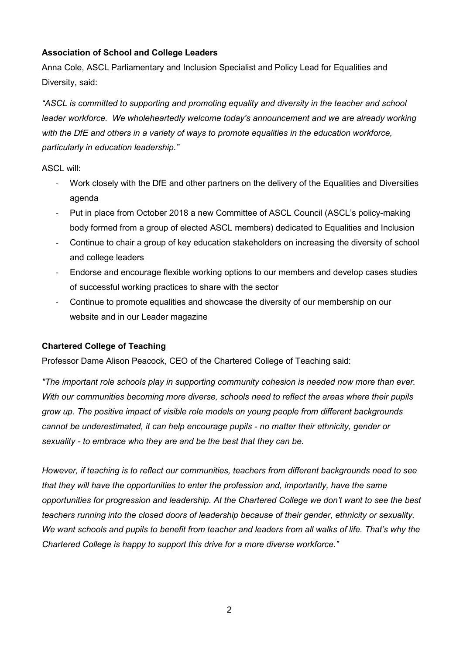## **Association of School and College Leaders**

Anna Cole, ASCL Parliamentary and Inclusion Specialist and Policy Lead for Equalities and Diversity, said:

*"ASCL is committed to supporting and promoting equality and diversity in the teacher and school leader workforce. We wholeheartedly welcome today's announcement and we are already working with the DfE and others in a variety of ways to promote equalities in the education workforce, particularly in education leadership."*

ASCL will:

- Work closely with the DfE and other partners on the delivery of the Equalities and Diversities agenda
- Put in place from October 2018 a new Committee of ASCL Council (ASCL's policy-making body formed from a group of elected ASCL members) dedicated to Equalities and Inclusion
- Continue to chair a group of key education stakeholders on increasing the diversity of school and college leaders
- Endorse and encourage flexible working options to our members and develop cases studies of successful working practices to share with the sector
- Continue to promote equalities and showcase the diversity of our membership on our website and in our Leader magazine

#### **Chartered College of Teaching**

Professor Dame Alison Peacock, CEO of the Chartered College of Teaching said:

*"The important role schools play in supporting community cohesion is needed now more than ever. With our communities becoming more diverse, schools need to reflect the areas where their pupils grow up. The positive impact of visible role models on young people from different backgrounds cannot be underestimated, it can help encourage pupils - no matter their ethnicity, gender or sexuality - to embrace who they are and be the best that they can be.*

*However, if teaching is to reflect our communities, teachers from different backgrounds need to see that they will have the opportunities to enter the profession and, importantly, have the same opportunities for progression and leadership. At the Chartered College we don't want to see the best teachers running into the closed doors of leadership because of their gender, ethnicity or sexuality. We want schools and pupils to benefit from teacher and leaders from all walks of life. That's why the Chartered College is happy to support this drive for a more diverse workforce."*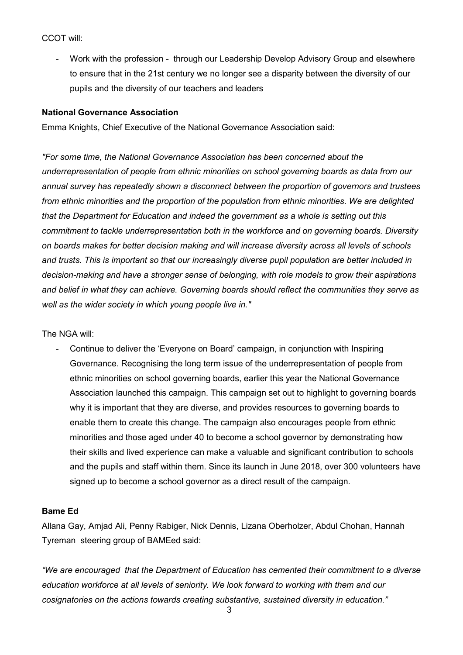CCOT will:

- Work with the profession - through our Leadership Develop Advisory Group and elsewhere to ensure that in the 21st century we no longer see a disparity between the diversity of our pupils and the diversity of our teachers and leaders

#### **National Governance Association**

Emma Knights, Chief Executive of the National Governance Association said:

*"For some time, the National Governance Association has been concerned about the underrepresentation of people from ethnic minorities on school governing boards as data from our annual survey has repeatedly shown a disconnect between the proportion of governors and trustees from ethnic minorities and the proportion of the population from ethnic minorities. We are delighted that the Department for Education and indeed the government as a whole is setting out this commitment to tackle underrepresentation both in the workforce and on governing boards. Diversity on boards makes for better decision making and will increase diversity across all levels of schools and trusts. This is important so that our increasingly diverse pupil population are better included in decision-making and have a stronger sense of belonging, with role models to grow their aspirations and belief in what they can achieve. Governing boards should reflect the communities they serve as well as the wider society in which young people live in."*

The NGA will:

- Continue to deliver the 'Everyone on Board' campaign, in conjunction with Inspiring Governance. Recognising the long term issue of the underrepresentation of people from ethnic minorities on school governing boards, earlier this year the National Governance Association launched this campaign. This campaign set out to highlight to governing boards why it is important that they are diverse, and provides resources to governing boards to enable them to create this change. The campaign also encourages people from ethnic minorities and those aged under 40 to become a school governor by demonstrating how their skills and lived experience can make a valuable and significant contribution to schools and the pupils and staff within them. Since its launch in June 2018, over 300 volunteers have signed up to become a school governor as a direct result of the campaign.

#### **Bame Ed**

Allana Gay, Amjad Ali, Penny Rabiger, Nick Dennis, Lizana Oberholzer, Abdul Chohan, Hannah Tyreman steering group of BAMEed said:

*"We are encouraged that the Department of Education has cemented their commitment to a diverse education workforce at all levels of seniority. We look forward to working with them and our cosignatories on the actions towards creating substantive, sustained diversity in education."*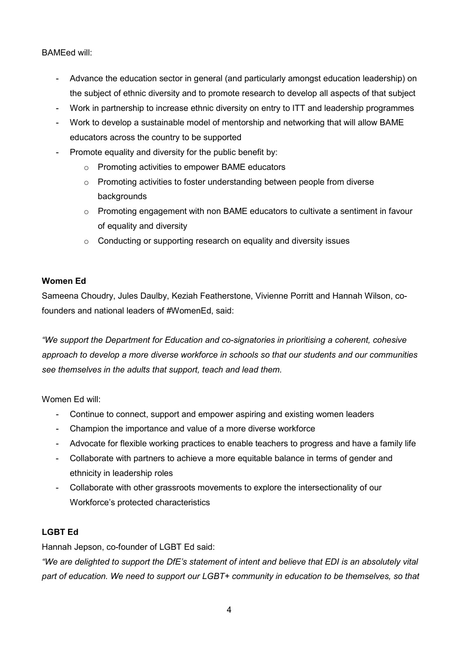BAMEed will:

- Advance the education sector in general (and particularly amongst education leadership) on the subject of ethnic diversity and to promote research to develop all aspects of that subject
- Work in partnership to increase ethnic diversity on entry to ITT and leadership programmes
- Work to develop a sustainable model of mentorship and networking that will allow BAME educators across the country to be supported
- Promote equality and diversity for the public benefit by:
	- o Promoting activities to empower BAME educators
	- o Promoting activities to foster understanding between people from diverse backgrounds
	- $\circ$  Promoting engagement with non BAME educators to cultivate a sentiment in favour of equality and diversity
	- o Conducting or supporting research on equality and diversity issues

#### **Women Ed**

Sameena Choudry, Jules Daulby, Keziah Featherstone, Vivienne Porritt and Hannah Wilson, cofounders and national leaders of #WomenEd, said:

*"We support the Department for Education and co-signatories in prioritising a coherent, cohesive approach to develop a more diverse workforce in schools so that our students and our communities see themselves in the adults that support, teach and lead them.* 

Women Ed will:

- Continue to connect, support and empower aspiring and existing women leaders
- Champion the importance and value of a more diverse workforce
- Advocate for flexible working practices to enable teachers to progress and have a family life
- Collaborate with partners to achieve a more equitable balance in terms of gender and ethnicity in leadership roles
- Collaborate with other grassroots movements to explore the intersectionality of our Workforce's protected characteristics

#### **LGBT Ed**

Hannah Jepson, co-founder of LGBT Ed said:

*"We are delighted to support the DfE's statement of intent and believe that EDI is an absolutely vital part of education. We need to support our LGBT+ community in education to be themselves, so that*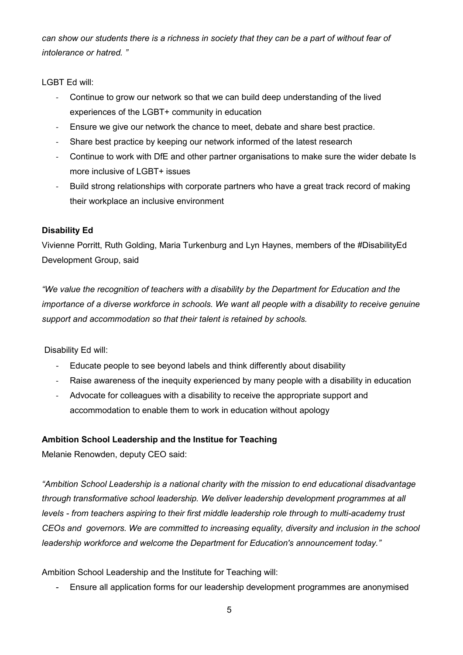*can show our students there is a richness in society that they can be a part of without fear of intolerance or hatred. "*

LGBT Ed will:

- Continue to grow our network so that we can build deep understanding of the lived experiences of the LGBT+ community in education
- Ensure we give our network the chance to meet, debate and share best practice.
- Share best practice by keeping our network informed of the latest research
- Continue to work with DfE and other partner organisations to make sure the wider debate Is more inclusive of LGBT+ issues
- Build strong relationships with corporate partners who have a great track record of making their workplace an inclusive environment

## **Disability Ed**

Vivienne Porritt, Ruth Golding, Maria Turkenburg and Lyn Haynes, members of the #DisabilityEd Development Group, said

*"We value the recognition of teachers with a disability by the Department for Education and the importance of a diverse workforce in schools. We want all people with a disability to receive genuine support and accommodation so that their talent is retained by schools.* 

Disability Ed will:

- Educate people to see beyond labels and think differently about disability
- Raise awareness of the inequity experienced by many people with a disability in education
- Advocate for colleagues with a disability to receive the appropriate support and accommodation to enable them to work in education without apology

## **Ambition School Leadership and the Institue for Teaching**

Melanie Renowden, deputy CEO said:

*"Ambition School Leadership is a national charity with the mission to end educational disadvantage through transformative school leadership. We deliver leadership development programmes at all levels - from teachers aspiring to their first middle leadership role through to multi-academy trust CEOs and governors. We are committed to increasing equality, diversity and inclusion in the school leadership workforce and welcome the Department for Education's announcement today."*

Ambition School Leadership and the Institute for Teaching will:

- Ensure all application forms for our leadership development programmes are anonymised